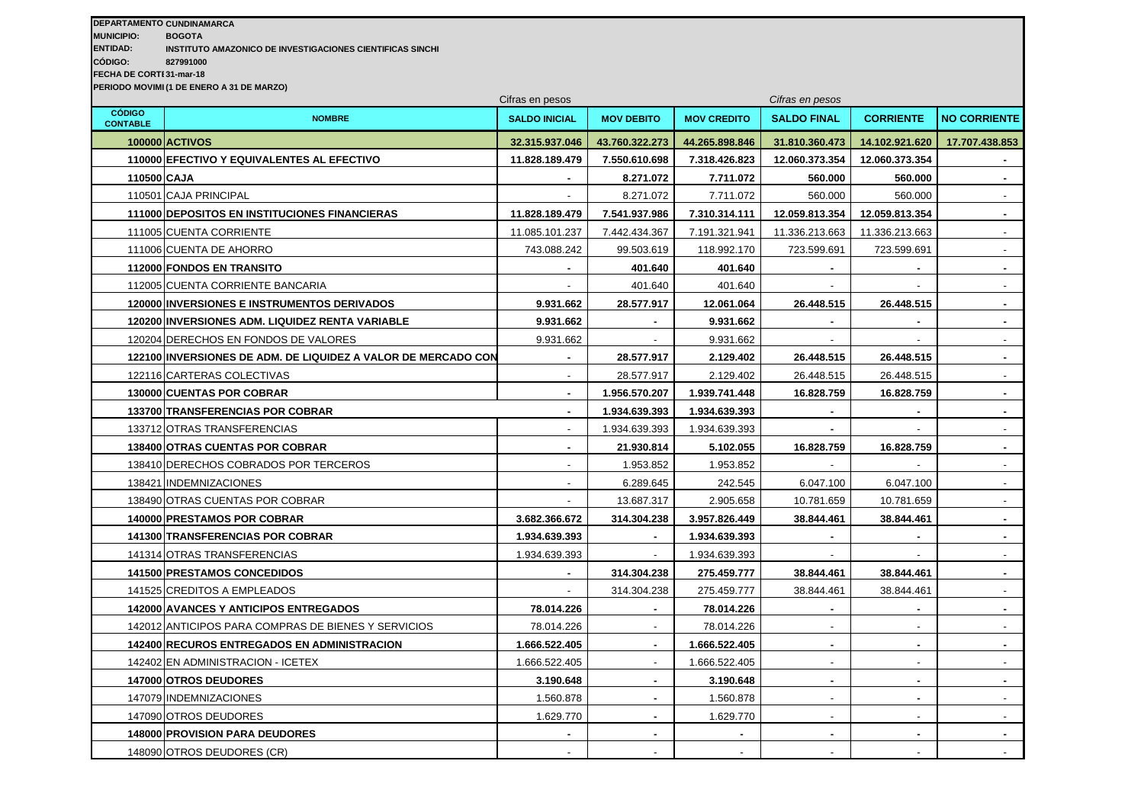## **DEPARTAMENTO**: **CUNDINAMARCA**

**MUNICIPIO: BOGOTA**

**ENTIDAD: INSTITUTO AMAZONICO DE INVESTIGACIONES CIENTIFICAS SINCHI**

**CÓDIGO: 827991000**

**FECHA DE CORTI 31-mar-18** 

**PERIODO MOVIMI (1 DE ENERO A 31 DE MARZO)** 

|                                  | Cifras en pesos                                               |                          |                   |                    | Cifras en pesos          |                          |                             |  |
|----------------------------------|---------------------------------------------------------------|--------------------------|-------------------|--------------------|--------------------------|--------------------------|-----------------------------|--|
| <b>CÓDIGO</b><br><b>CONTABLE</b> | <b>NOMBRE</b>                                                 | <b>SALDO INICIAL</b>     | <b>MOV DEBITO</b> | <b>MOV CREDITO</b> | <b>SALDO FINAL</b>       | <b>CORRIENTE</b>         | <b>NO CORRIENTE</b>         |  |
|                                  | <b>100000 ACTIVOS</b>                                         | 32.315.937.046           | 43.760.322.273    | 44.265.898.846     | 31.810.360.473           | 14.102.921.620           | 17.707.438.853              |  |
|                                  | 110000 EFECTIVO Y EQUIVALENTES AL EFECTIVO                    | 11.828.189.479           | 7.550.610.698     | 7.318.426.823      | 12.060.373.354           | 12.060.373.354           |                             |  |
|                                  | 110500 CAJA                                                   |                          | 8.271.072         | 7.711.072          | 560.000                  | 560.000                  | $\blacksquare$              |  |
|                                  | 110501 CAJA PRINCIPAL                                         | $\overline{\phantom{a}}$ | 8.271.072         | 7.711.072          | 560.000                  | 560.000                  | $\overline{\phantom{a}}$    |  |
|                                  | 111000 DEPOSITOS EN INSTITUCIONES FINANCIERAS                 | 11.828.189.479           | 7.541.937.986     | 7.310.314.111      | 12.059.813.354           | 12.059.813.354           | $\sim$                      |  |
|                                  | 111005 CUENTA CORRIENTE                                       | 11.085.101.237           | 7.442.434.367     | 7.191.321.941      | 11.336.213.663           | 11.336.213.663           | $\mathcal{L}_{\mathcal{A}}$ |  |
|                                  | 111006 CUENTA DE AHORRO                                       | 743.088.242              | 99.503.619        | 118.992.170        | 723.599.691              | 723.599.691              | $\mathcal{L}_{\mathcal{A}}$ |  |
|                                  | 112000 FONDOS EN TRANSITO                                     |                          | 401.640           | 401.640            |                          |                          | $\blacksquare$              |  |
|                                  | 112005 CUENTA CORRIENTE BANCARIA                              |                          | 401.640           | 401.640            |                          |                          | $\sim$                      |  |
|                                  | 120000 INVERSIONES E INSTRUMENTOS DERIVADOS                   | 9.931.662                | 28.577.917        | 12.061.064         | 26.448.515               | 26.448.515               | $\sim$                      |  |
|                                  | 120200 INVERSIONES ADM. LIQUIDEZ RENTA VARIABLE               | 9.931.662                |                   | 9.931.662          |                          |                          | $\mathbf{r}$                |  |
|                                  | 120204 DERECHOS EN FONDOS DE VALORES                          | 9.931.662                |                   | 9.931.662          |                          |                          | $\mathcal{L}_{\mathcal{A}}$ |  |
|                                  | 122100 INVERSIONES DE ADM. DE LIQUIDEZ A VALOR DE MERCADO CON |                          | 28.577.917        | 2.129.402          | 26.448.515               | 26.448.515               | $\sim$                      |  |
|                                  | 122116 CARTERAS COLECTIVAS                                    | $\overline{\phantom{a}}$ | 28.577.917        | 2.129.402          | 26.448.515               | 26.448.515               | $\sim$                      |  |
|                                  | <b>130000 CUENTAS POR COBRAR</b>                              | $\blacksquare$           | 1.956.570.207     | 1.939.741.448      | 16.828.759               | 16.828.759               | $\sim$                      |  |
|                                  | 133700 TRANSFERENCIAS POR COBRAR                              | $\blacksquare$           | 1.934.639.393     | 1.934.639.393      |                          |                          | $\sim$                      |  |
|                                  | 133712 OTRAS TRANSFERENCIAS                                   | $\overline{\phantom{a}}$ | 1.934.639.393     | 1.934.639.393      |                          |                          | $\overline{\phantom{a}}$    |  |
|                                  | <b>138400 OTRAS CUENTAS POR COBRAR</b>                        | $\blacksquare$           | 21.930.814        | 5.102.055          | 16.828.759               | 16.828.759               | $\blacksquare$              |  |
|                                  | 138410 DERECHOS COBRADOS POR TERCEROS                         |                          | 1.953.852         | 1.953.852          |                          |                          | $\sim$                      |  |
|                                  | 138421 INDEMNIZACIONES                                        |                          | 6.289.645         | 242.545            | 6.047.100                | 6.047.100                | $\blacksquare$              |  |
|                                  | 138490 OTRAS CUENTAS POR COBRAR                               |                          | 13.687.317        | 2.905.658          | 10.781.659               | 10.781.659               | $\overline{a}$              |  |
|                                  | <b>140000 PRESTAMOS POR COBRAR</b>                            | 3.682.366.672            | 314.304.238       | 3.957.826.449      | 38.844.461               | 38.844.461               |                             |  |
|                                  | <b>141300 TRANSFERENCIAS POR COBRAR</b>                       | 1.934.639.393            |                   | 1.934.639.393      |                          |                          | $\blacksquare$              |  |
|                                  | 141314 OTRAS TRANSFERENCIAS                                   | 1.934.639.393            |                   | 1.934.639.393      |                          |                          |                             |  |
|                                  | <b>141500 PRESTAMOS CONCEDIDOS</b>                            | $\blacksquare$           | 314.304.238       | 275.459.777        | 38.844.461               | 38.844.461               | $\blacksquare$              |  |
|                                  | 141525 CREDITOS A EMPLEADOS                                   |                          | 314.304.238       | 275.459.777        | 38.844.461               | 38.844.461               | $\overline{\phantom{a}}$    |  |
|                                  | <b>142000 AVANCES Y ANTICIPOS ENTREGADOS</b>                  | 78.014.226               |                   | 78.014.226         |                          |                          | $\blacksquare$              |  |
|                                  | 142012 ANTICIPOS PARA COMPRAS DE BIENES Y SERVICIOS           | 78.014.226               |                   | 78.014.226         |                          |                          |                             |  |
|                                  | <b>142400 RECUROS ENTREGADOS EN ADMINISTRACION</b>            | 1.666.522.405            | $\sim$            | 1.666.522.405      | $\blacksquare$           | $\blacksquare$           | $\blacksquare$              |  |
|                                  | 142402 EN ADMINISTRACION - ICETEX                             | 1.666.522.405            | $\sim$            | 1.666.522.405      |                          | $\blacksquare$           |                             |  |
|                                  | 147000 OTROS DEUDORES                                         | 3.190.648                | $\sim$            | 3.190.648          | $\blacksquare$           | $\blacksquare$           | $\blacksquare$              |  |
|                                  | 147079 INDEMNIZACIONES                                        | 1.560.878                | $\blacksquare$    | 1.560.878          | $\overline{\phantom{a}}$ | $\blacksquare$           | $\overline{\phantom{a}}$    |  |
|                                  | 147090 OTROS DEUDORES                                         | 1.629.770                | $\sim$            | 1.629.770          | $\blacksquare$           | $\overline{\phantom{a}}$ | $\sim$                      |  |
|                                  | 148000 PROVISION PARA DEUDORES                                |                          | $\blacksquare$    |                    |                          | $\blacksquare$           | $\blacksquare$              |  |
|                                  | 148090 OTROS DEUDORES (CR)                                    | $\sim$                   | $\sim$            | $\overline{a}$     | $\overline{\phantom{a}}$ | $\overline{\phantom{a}}$ | $\sim$                      |  |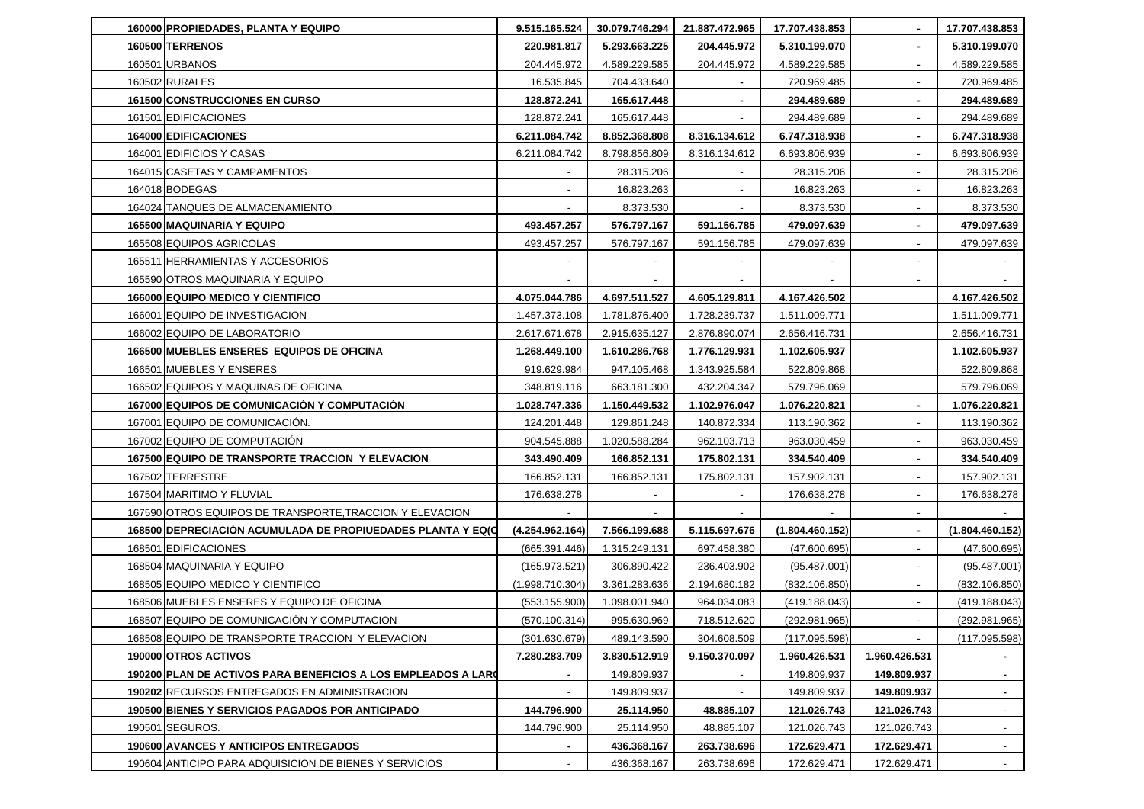| 160000 PROPIEDADES, PLANTA Y EQUIPO                           | 9.515.165.524   | 30.079.746.294 | 21.887.472.965 | 17.707.438.853  |                          | 17.707.438.853  |
|---------------------------------------------------------------|-----------------|----------------|----------------|-----------------|--------------------------|-----------------|
| <b>160500 TERRENOS</b>                                        | 220.981.817     | 5.293.663.225  | 204.445.972    | 5.310.199.070   | $\blacksquare$           | 5.310.199.070   |
| 160501 URBANOS                                                | 204.445.972     | 4.589.229.585  | 204.445.972    | 4.589.229.585   | $\blacksquare$           | 4.589.229.585   |
| 160502 RURALES                                                | 16.535.845      | 704.433.640    |                | 720.969.485     | $\overline{\phantom{a}}$ | 720.969.485     |
| <b>161500 CONSTRUCCIONES EN CURSO</b>                         | 128.872.241     | 165.617.448    |                | 294.489.689     |                          | 294.489.689     |
| 161501 EDIFICACIONES                                          | 128.872.241     | 165.617.448    |                | 294.489.689     |                          | 294.489.689     |
| 164000 EDIFICACIONES                                          | 6.211.084.742   | 8.852.368.808  | 8.316.134.612  | 6.747.318.938   | $\blacksquare$           | 6.747.318.938   |
| 164001 EDIFICIOS Y CASAS                                      | 6.211.084.742   | 8.798.856.809  | 8.316.134.612  | 6.693.806.939   | $\overline{\phantom{a}}$ | 6.693.806.939   |
| 164015 CASETAS Y CAMPAMENTOS                                  |                 | 28.315.206     |                | 28.315.206      | $\overline{\phantom{a}}$ | 28.315.206      |
| 164018 BODEGAS                                                |                 | 16.823.263     |                | 16.823.263      | $\blacksquare$           | 16.823.263      |
| 164024 TANQUES DE ALMACENAMIENTO                              |                 | 8.373.530      |                | 8.373.530       | $\overline{\phantom{a}}$ | 8.373.530       |
| <b>165500 MAQUINARIA Y EQUIPO</b>                             | 493.457.257     | 576.797.167    | 591.156.785    | 479.097.639     | $\blacksquare$           | 479.097.639     |
| 165508 EQUIPOS AGRICOLAS                                      | 493.457.257     | 576.797.167    | 591.156.785    | 479.097.639     |                          | 479.097.639     |
| 165511 HERRAMIENTAS Y ACCESORIOS                              |                 |                |                |                 |                          |                 |
| 165590 OTROS MAQUINARIA Y EQUIPO                              |                 |                |                |                 |                          |                 |
| 166000 EQUIPO MEDICO Y CIENTIFICO                             | 4.075.044.786   | 4.697.511.527  | 4.605.129.811  | 4.167.426.502   |                          | 4.167.426.502   |
| 166001 EQUIPO DE INVESTIGACION                                | 1.457.373.108   | 1.781.876.400  | 1.728.239.737  | 1.511.009.771   |                          | 1.511.009.771   |
| 166002 EQUIPO DE LABORATORIO                                  | 2.617.671.678   | 2.915.635.127  | 2.876.890.074  | 2.656.416.731   |                          | 2.656.416.731   |
| 166500 MUEBLES ENSERES EQUIPOS DE OFICINA                     | 1.268.449.100   | 1.610.286.768  | 1.776.129.931  | 1.102.605.937   |                          | 1.102.605.937   |
| 166501 MUEBLES Y ENSERES                                      | 919.629.984     | 947.105.468    | 1.343.925.584  | 522.809.868     |                          | 522.809.868     |
| 166502 EQUIPOS Y MAQUINAS DE OFICINA                          | 348.819.116     | 663.181.300    | 432.204.347    | 579.796.069     |                          | 579.796.069     |
| 167000 EQUIPOS DE COMUNICACIÓN Y COMPUTACIÓN                  | 1.028.747.336   | 1.150.449.532  | 1.102.976.047  | 1.076.220.821   | $\blacksquare$           | 1.076.220.821   |
| 167001 EQUIPO DE COMUNICACION.                                | 124.201.448     | 129.861.248    | 140.872.334    | 113.190.362     |                          | 113.190.362     |
| 167002 EQUIPO DE COMPUTACION                                  | 904.545.888     | 1.020.588.284  | 962.103.713    | 963.030.459     |                          | 963.030.459     |
| 167500 EQUIPO DE TRANSPORTE TRACCION Y ELEVACION              | 343.490.409     | 166.852.131    | 175.802.131    | 334.540.409     | $\blacksquare$           | 334.540.409     |
| 167502 TERRESTRE                                              | 166.852.131     | 166.852.131    | 175.802.131    | 157.902.131     | $\sim$                   | 157.902.131     |
| 167504 MARITIMO Y FLUVIAL                                     | 176.638.278     |                |                | 176.638.278     | $\overline{\phantom{a}}$ | 176.638.278     |
| 167590 OTROS EQUIPOS DE TRANSPORTE, TRACCION Y ELEVACION      |                 |                |                |                 |                          |                 |
| 168500 DEPRECIACION ACUMULADA DE PROPIUEDADES PLANTA Y EQ(C)  | (4.254.962.164) | 7.566.199.688  | 5.115.697.676  | (1.804.460.152) | $\blacksquare$           | (1.804.460.152) |
| 168501 EDIFICACIONES                                          | (665.391.446)   | 1.315.249.131  | 697.458.380    | (47.600.695)    |                          | (47.600.695)    |
| 168504 MAQUINARIA Y EQUIPO                                    | (165.973.521)   | 306.890.422    | 236.403.902    | (95.487.001)    | $\sim$                   | (95.487.001)    |
| 168505 EQUIPO MEDICO Y CIENTIFICO                             | (1.998.710.304) | 3.361.283.636  | 2.194.680.182  | (832.106.850)   | $\overline{\phantom{a}}$ | (832.106.850)   |
| 168506 MUEBLES ENSERES Y EQUIPO DE OFICINA                    | (553.155.900)   | 1.098.001.940  | 964.034.083    | (419.188.043)   |                          | (419.188.043)   |
| 168507 EQUIPO DE COMUNICACION Y COMPUTACION                   | (570.100.314)   | 995.630.969    | 718.512.620    | (292.981.965)   | $\sim$                   | (292.981.965)   |
| 168508 EQUIPO DE TRANSPORTE TRACCION Y ELEVACION              | (301.630.679)   | 489.143.590    | 304.608.509    | (117.095.598)   |                          | (117.095.598)   |
| 190000 OTROS ACTIVOS                                          | 7.280.283.709   | 3.830.512.919  | 9.150.370.097  | 1.960.426.531   | 1.960.426.531            |                 |
| 190200 PLAN DE ACTIVOS PARA BENEFICIOS A LOS EMPLEADOS A LARO | $\blacksquare$  | 149.809.937    |                | 149.809.937     | 149.809.937              | $\sim$          |
| 190202 RECURSOS ENTREGADOS EN ADMINISTRACION                  |                 | 149.809.937    |                | 149.809.937     | 149.809.937              |                 |
| 190500 BIENES Y SERVICIOS PAGADOS POR ANTICIPADO              | 144.796.900     | 25.114.950     | 48.885.107     | 121.026.743     | 121.026.743              | $\sim$          |
| 190501 SEGUROS.                                               | 144.796.900     | 25.114.950     | 48.885.107     | 121.026.743     | 121.026.743              |                 |
| 190600 AVANCES Y ANTICIPOS ENTREGADOS                         | $\blacksquare$  | 436.368.167    | 263.738.696    | 172.629.471     | 172.629.471              | $\sim$          |
| 190604 ANTICIPO PARA ADQUISICION DE BIENES Y SERVICIOS        | $\blacksquare$  | 436.368.167    | 263.738.696    | 172.629.471     | 172.629.471              | $\sim$          |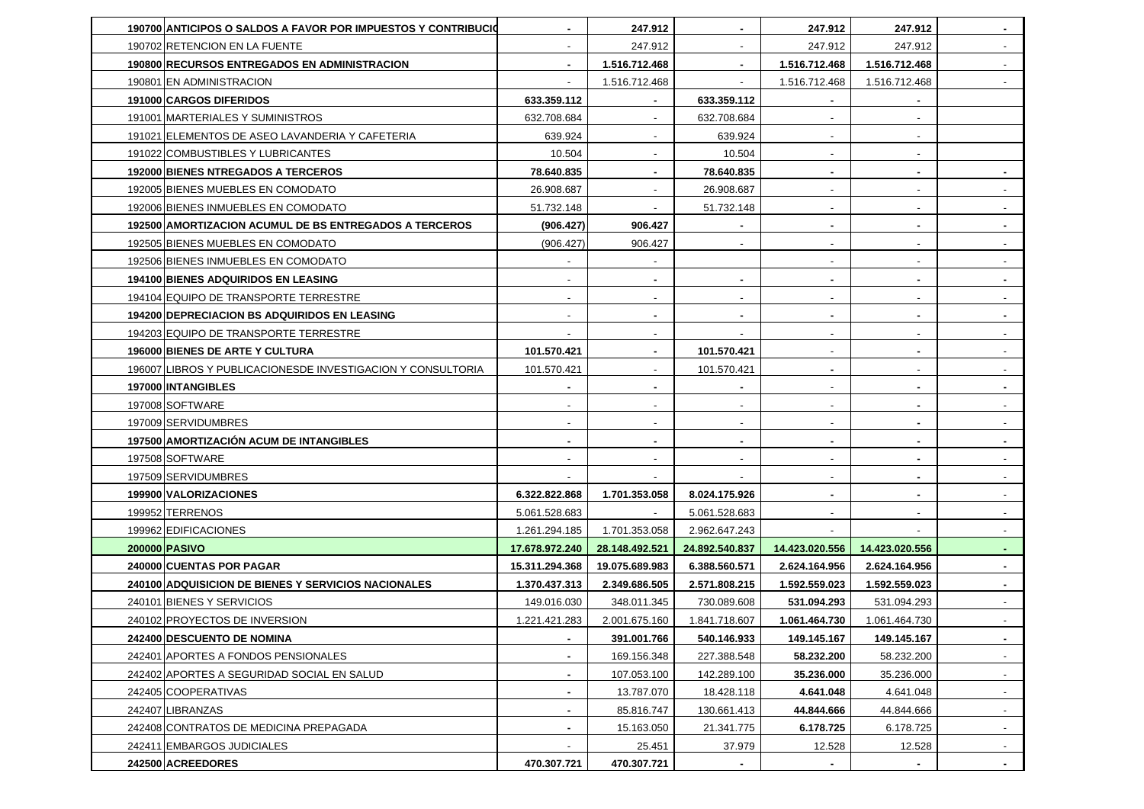| 190700 ANTICIPOS O SALDOS A FAVOR POR IMPUESTOS Y CONTRIBUCIO | $\sim$                   | 247.912                  | $\sim$                   | 247.912                  | 247.912                  | $\sim$                   |
|---------------------------------------------------------------|--------------------------|--------------------------|--------------------------|--------------------------|--------------------------|--------------------------|
| 190702 RETENCION EN LA FUENTE                                 |                          | 247.912                  |                          | 247.912                  | 247.912                  |                          |
| 190800 RECURSOS ENTREGADOS EN ADMINISTRACION                  |                          | 1.516.712.468            | $\sim$                   | 1.516.712.468            | 1.516.712.468            |                          |
| 190801 EN ADMINISTRACION                                      |                          | 1.516.712.468            | $\blacksquare$           | 1.516.712.468            | 1.516.712.468            |                          |
| 191000 CARGOS DIFERIDOS                                       | 633.359.112              |                          | 633.359.112              |                          |                          |                          |
| 191001 MARTERIALES Y SUMINISTROS                              | 632.708.684              | $\overline{\phantom{a}}$ | 632.708.684              | $\overline{\phantom{a}}$ | $\overline{\phantom{a}}$ |                          |
| 191021 ELEMENTOS DE ASEO LAVANDERIA Y CAFETERIA               | 639.924                  |                          | 639.924                  |                          |                          |                          |
| 191022 COMBUSTIBLES Y LUBRICANTES                             | 10.504                   |                          | 10.504                   | $\overline{\phantom{a}}$ | $\overline{\phantom{a}}$ |                          |
| <b>192000 BIENES NTREGADOS A TERCEROS</b>                     | 78.640.835               |                          | 78.640.835               | $\blacksquare$           | $\blacksquare$           |                          |
| 192005 BIENES MUEBLES EN COMODATO                             | 26.908.687               |                          | 26.908.687               |                          |                          |                          |
| 192006 BIENES INMUEBLES EN COMODATO                           | 51.732.148               | $\overline{\phantom{a}}$ | 51.732.148               | $\overline{\phantom{a}}$ | $\overline{\phantom{a}}$ | $\sim$                   |
| <b>192500 AMORTIZACION ACUMUL DE BS ENTREGADOS A TERCEROS</b> | (906.427)                | 906.427                  |                          | ۰                        | $\blacksquare$           | $\sim$                   |
| 192505 BIENES MUEBLES EN COMODATO                             | (906.427)                | 906.427                  | $\sim$                   | $\overline{\phantom{a}}$ | $\overline{\phantom{a}}$ | $\sim$                   |
| 192506 BIENES INMUEBLES EN COMODATO                           |                          |                          |                          |                          |                          | $\overline{\phantom{a}}$ |
| <b>194100 BIENES ADQUIRIDOS EN LEASING</b>                    |                          |                          | $\blacksquare$           | $\blacksquare$           | $\blacksquare$           |                          |
| 194104 EQUIPO DE TRANSPORTE TERRESTRE                         | $\overline{\phantom{a}}$ | $\overline{\phantom{a}}$ | $\sim$                   | $\overline{\phantom{a}}$ | $\overline{\phantom{a}}$ | $\sim$                   |
| 194200 DEPRECIACION BS ADQUIRIDOS EN LEASING                  | $\overline{\phantom{a}}$ | $\blacksquare$           | ٠.                       | $\blacksquare$           |                          | $\sim$                   |
| 194203 EQUIPO DE TRANSPORTE TERRESTRE                         |                          |                          |                          | $\overline{\phantom{a}}$ | $\overline{\phantom{a}}$ | $\sim$                   |
| <b>196000 BIENES DE ARTE Y CULTURA</b>                        | 101.570.421              |                          | 101.570.421              |                          | $\blacksquare$           |                          |
| 196007 LIBROS Y PUBLICACIONESDE INVESTIGACION Y CONSULTORIA   | 101.570.421              |                          | 101.570.421              | $\blacksquare$           | $\blacksquare$           |                          |
| 197000 INTANGIBLES                                            | $\blacksquare$           | $\blacksquare$           | $\sim$                   | $\overline{\phantom{a}}$ | $\blacksquare$           | $\sim$                   |
| 197008 SOFTWARE                                               |                          |                          | $\overline{\phantom{a}}$ | $\overline{\phantom{a}}$ |                          |                          |
| 197009 SERVIDUMBRES                                           | $\overline{\phantom{a}}$ |                          | $\sim$                   | $\overline{\phantom{a}}$ | $\sim$                   | $\sim$                   |
| <b>197500 AMORTIZACION ACUM DE INTANGIBLES</b>                | $\blacksquare$           | $\sim$                   | $\blacksquare$           | $\blacksquare$           |                          | $\blacksquare$           |
| 197508 SOFTWARE                                               |                          |                          | $\overline{\phantom{a}}$ | $\overline{\phantom{a}}$ | $\blacksquare$           |                          |
| 197509 SERVIDUMBRES                                           |                          |                          |                          | $\overline{\phantom{a}}$ | $\blacksquare$           | $\overline{\phantom{a}}$ |
| 199900 VALORIZACIONES                                         | 6.322.822.868            | 1.701.353.058            | 8.024.175.926            |                          |                          |                          |
| 199952 TERRENOS                                               | 5.061.528.683            |                          | 5.061.528.683            |                          |                          |                          |
| 199962 EDIFICACIONES                                          | 1.261.294.185            | 1.701.353.058            | 2.962.647.243            |                          |                          |                          |
| 200000 PASIVO                                                 | 17.678.972.240           | 28.148.492.521           | 24.892.540.837           | 14.423.020.556           | 14.423.020.556           | $\sim$                   |
| 240000 CUENTAS POR PAGAR                                      | 15.311.294.368           | 19.075.689.983           | 6.388.560.571            | 2.624.164.956            | 2.624.164.956            | $\sim$                   |
| 240100 ADQUISICION DE BIENES Y SERVICIOS NACIONALES           | 1.370.437.313            | 2.349.686.505            | 2.571.808.215            | 1.592.559.023            | 1.592.559.023            |                          |
| 240101 BIENES Y SERVICIOS                                     | 149.016.030              | 348.011.345              | 730.089.608              | 531.094.293              | 531.094.293              | $\overline{\phantom{a}}$ |
| 240102 PROYECTOS DE INVERSION                                 | 1.221.421.283            | 2.001.675.160            | 1.841.718.607            | 1.061.464.730            | 1.061.464.730            |                          |
| 242400 DESCUENTO DE NOMINA                                    | $\blacksquare$           | 391.001.766              | 540.146.933              | 149.145.167              | 149.145.167              | $\sim$                   |
| 242401 APORTES A FONDOS PENSIONALES                           | $\blacksquare$           | 169.156.348              | 227.388.548              | 58.232.200               | 58.232.200               | $\sim$                   |
| 242402 APORTES A SEGURIDAD SOCIAL EN SALUD                    | ٠                        | 107.053.100              | 142.289.100              | 35.236.000               | 35.236.000               | $\sim$                   |
| 242405 COOPERATIVAS                                           | $\blacksquare$           | 13.787.070               | 18.428.118               | 4.641.048                | 4.641.048                | $\sim$                   |
| 242407 LIBRANZAS                                              | $\blacksquare$           | 85.816.747               | 130.661.413              | 44.844.666               | 44.844.666               | $\sim$                   |
| 242408 CONTRATOS DE MEDICINA PREPAGADA                        | $\blacksquare$           | 15.163.050               | 21.341.775               | 6.178.725                | 6.178.725                | $\sim$                   |
| 242411 EMBARGOS JUDICIALES                                    | $\overline{\phantom{a}}$ | 25.451                   | 37.979                   | 12.528                   | 12.528                   | $\sim$                   |
| 242500 ACREEDORES                                             | 470.307.721              | 470.307.721              |                          |                          |                          |                          |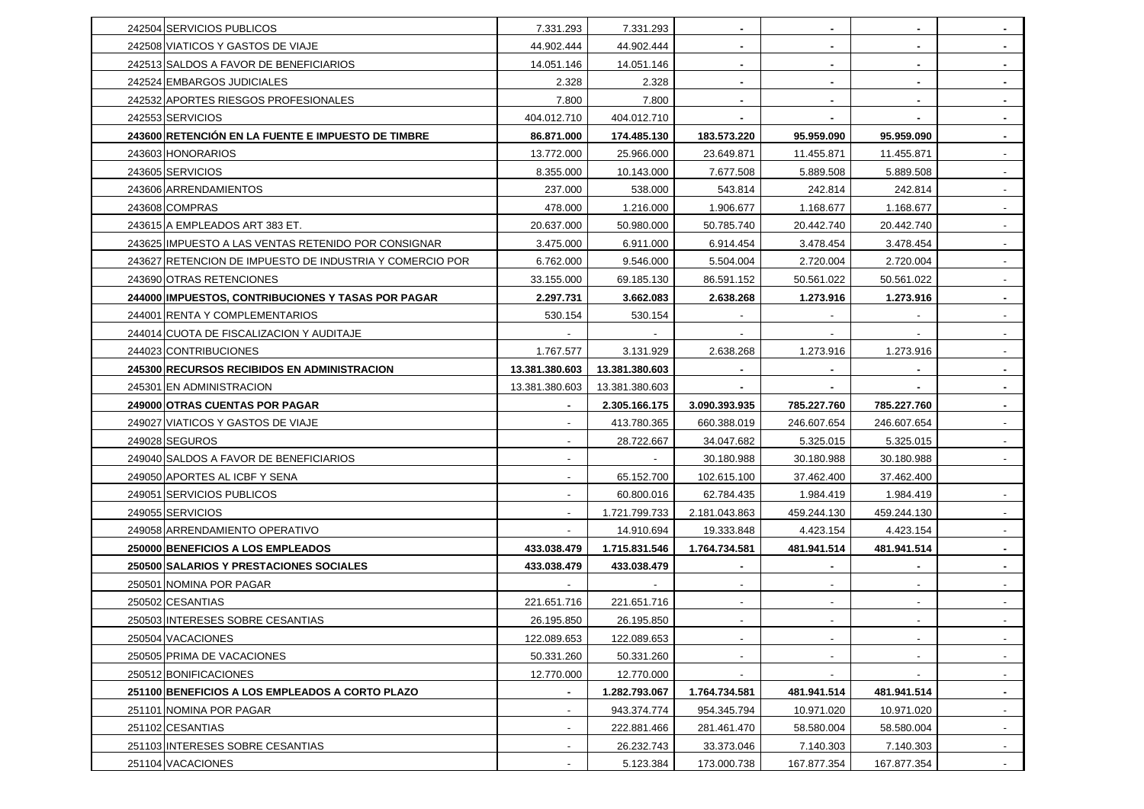| 242504 SERVICIOS PUBLICOS                                | 7.331.293                | 7.331.293      | $\sim$                   | $\blacksquare$           | $\sim$                   | $\sim$                   |
|----------------------------------------------------------|--------------------------|----------------|--------------------------|--------------------------|--------------------------|--------------------------|
| 242508 VIATICOS Y GASTOS DE VIAJE                        | 44.902.444               | 44.902.444     | $\blacksquare$           |                          |                          |                          |
| 242513 SALDOS A FAVOR DE BENEFICIARIOS                   | 14.051.146               | 14.051.146     | $\sim$                   |                          | $\sim$                   |                          |
| 242524 EMBARGOS JUDICIALES                               | 2.328                    | 2.328          | $\sim$                   |                          | $\blacksquare$           | $\sim$                   |
| 242532 APORTES RIESGOS PROFESIONALES                     | 7.800                    | 7.800          |                          |                          | $\blacksquare$           |                          |
| 242553 SERVICIOS                                         | 404.012.710              | 404.012.710    | $\sim$                   | $\sim$                   | $\sim$                   | $\sim$                   |
| 243600 RETENCIÓN EN LA FUENTE E IMPUESTO DE TIMBRE       | 86.871.000               | 174.485.130    | 183.573.220              | 95.959.090               | 95.959.090               | $\sim$                   |
| 243603 HONORARIOS                                        | 13.772.000               | 25.966.000     | 23.649.871               | 11.455.871               | 11.455.871               |                          |
| 243605 SERVICIOS                                         | 8.355.000                | 10.143.000     | 7.677.508                | 5.889.508                | 5.889.508                |                          |
| 243606 ARRENDAMIENTOS                                    | 237.000                  | 538.000        | 543.814                  | 242.814                  | 242.814                  |                          |
| 243608 COMPRAS                                           | 478.000                  | 1.216.000      | 1.906.677                | 1.168.677                | 1.168.677                | $\sim$                   |
| 243615 A EMPLEADOS ART 383 ET.                           | 20.637.000               | 50.980.000     | 50.785.740               | 20.442.740               | 20.442.740               |                          |
| 243625 IMPUESTO A LAS VENTAS RETENIDO POR CONSIGNAR      | 3.475.000                | 6.911.000      | 6.914.454                | 3.478.454                | 3.478.454                |                          |
| 243627 RETENCION DE IMPUESTO DE INDUSTRIA Y COMERCIO POR | 6.762.000                | 9.546.000      | 5.504.004                | 2.720.004                | 2.720.004                | $\sim$                   |
| 243690 OTRAS RETENCIONES                                 | 33.155.000               | 69.185.130     | 86.591.152               | 50.561.022               | 50.561.022               | $\overline{\phantom{a}}$ |
| 244000 IMPUESTOS, CONTRIBUCIONES Y TASAS POR PAGAR       | 2.297.731                | 3.662.083      | 2.638.268                | 1.273.916                | 1.273.916                | $\sim$                   |
| 244001 RENTA Y COMPLEMENTARIOS                           | 530.154                  | 530.154        |                          |                          |                          |                          |
| 244014 CUOTA DE FISCALIZACION Y AUDITAJE                 |                          |                |                          |                          |                          |                          |
| 244023 CONTRIBUCIONES                                    | 1.767.577                | 3.131.929      | 2.638.268                | 1.273.916                | 1.273.916                | $\overline{\phantom{a}}$ |
| <b>245300 RECURSOS RECIBIDOS EN ADMINISTRACION</b>       | 13.381.380.603           | 13.381.380.603 |                          |                          |                          |                          |
| 245301 EN ADMINISTRACION                                 | 13.381.380.603           | 13.381.380.603 |                          |                          |                          | $\sim$                   |
|                                                          |                          |                |                          |                          |                          |                          |
| 249000 OTRAS CUENTAS POR PAGAR                           |                          | 2.305.166.175  | 3.090.393.935            | 785.227.760              | 785.227.760              | $\sim$                   |
| 249027 VIATICOS Y GASTOS DE VIAJE                        |                          | 413.780.365    | 660.388.019              | 246.607.654              | 246.607.654              |                          |
| 249028 SEGUROS                                           |                          | 28.722.667     | 34.047.682               | 5.325.015                | 5.325.015                |                          |
| 249040 SALDOS A FAVOR DE BENEFICIARIOS                   | $\overline{\phantom{a}}$ |                | 30.180.988               | 30.180.988               | 30.180.988               |                          |
| 249050 APORTES AL ICBF Y SENA                            | $\overline{\phantom{a}}$ | 65.152.700     | 102.615.100              | 37.462.400               | 37.462.400               |                          |
| 249051 SERVICIOS PUBLICOS                                |                          | 60.800.016     | 62.784.435               | 1.984.419                | 1.984.419                |                          |
| 249055 SERVICIOS                                         | $\overline{\phantom{a}}$ | 1.721.799.733  | 2.181.043.863            | 459.244.130              | 459.244.130              |                          |
| 249058 ARRENDAMIENTO OPERATIVO                           |                          | 14.910.694     | 19.333.848               | 4.423.154                | 4.423.154                |                          |
| 250000 BENEFICIOS A LOS EMPLEADOS                        | 433.038.479              | 1.715.831.546  | 1.764.734.581            | 481.941.514              | 481.941.514              | $\sim$                   |
| 250500 SALARIOS Y PRESTACIONES SOCIALES                  | 433.038.479              | 433.038.479    | $\sim$                   | $\sim$                   | $\blacksquare$           | $\sim$                   |
| 250501 NOMINA POR PAGAR                                  |                          |                |                          |                          |                          |                          |
| 250502 CESANTIAS                                         | 221.651.716              | 221.651.716    | $\overline{\phantom{a}}$ |                          | $\blacksquare$           |                          |
| 250503 INTERESES SOBRE CESANTIAS                         | 26.195.850               | 26.195.850     |                          |                          |                          |                          |
| 250504 VACACIONES                                        | 122.089.653              | 122.089.653    | $\overline{\phantom{a}}$ | $\overline{\phantom{a}}$ | $\overline{\phantom{a}}$ | $\sim$                   |
| 250505 PRIMA DE VACACIONES                               | 50.331.260               | 50.331.260     | $\overline{\phantom{a}}$ | $\overline{\phantom{a}}$ | $\overline{\phantom{a}}$ | $\sim$                   |
| 250512 BONIFICACIONES                                    | 12.770.000               | 12.770.000     |                          |                          |                          | $\sim$                   |
| 251100 BENEFICIOS A LOS EMPLEADOS A CORTO PLAZO          | $\blacksquare$           | 1.282.793.067  | 1.764.734.581            | 481.941.514              | 481.941.514              | $\sim$                   |
| 251101 NOMINA POR PAGAR                                  | $\overline{\phantom{a}}$ | 943.374.774    | 954.345.794              | 10.971.020               | 10.971.020               | $\sim$                   |
| 251102 CESANTIAS                                         | $\overline{\phantom{a}}$ | 222.881.466    | 281.461.470              | 58.580.004               | 58.580.004               | $\sim$                   |
| 251103 INTERESES SOBRE CESANTIAS                         | $\overline{\phantom{a}}$ | 26.232.743     | 33.373.046               | 7.140.303                | 7.140.303                | $\sim$                   |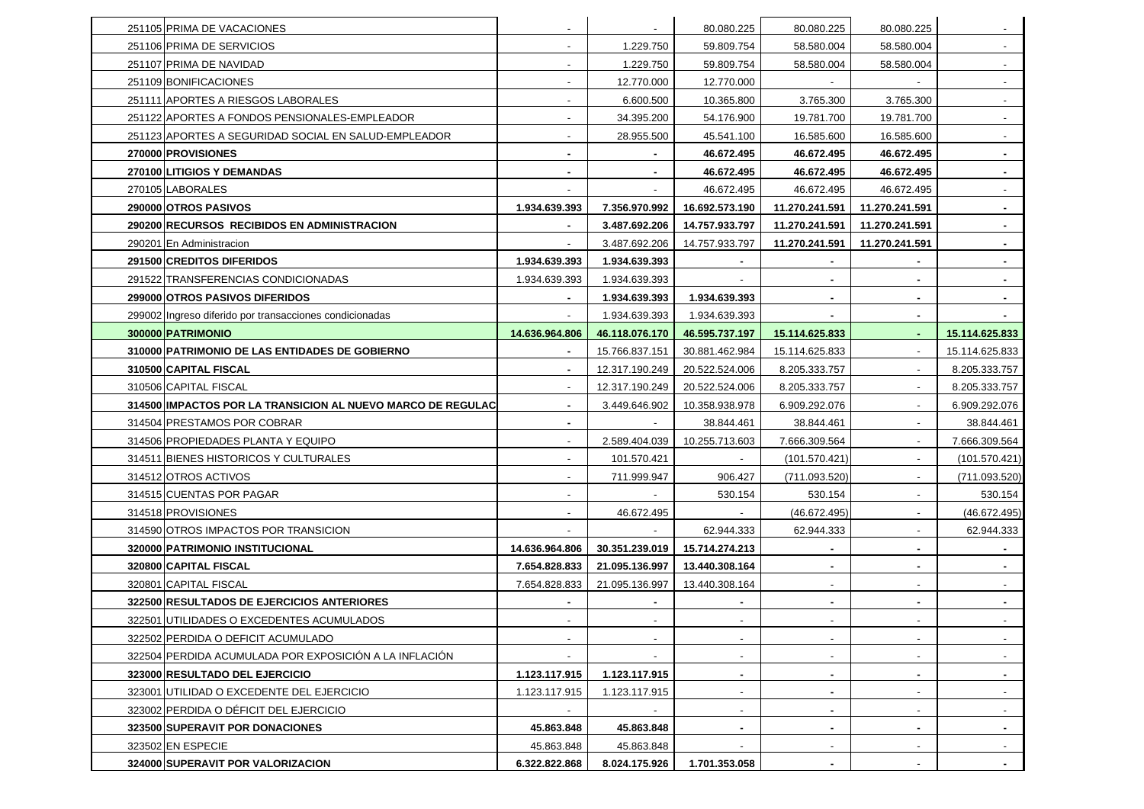| 251105 PRIMA DE VACACIONES                                  | $\overline{\phantom{a}}$ | $\overline{\phantom{a}}$ | 80.080.225               | 80.080.225               | 80.080.225               | $\overline{\phantom{a}}$ |
|-------------------------------------------------------------|--------------------------|--------------------------|--------------------------|--------------------------|--------------------------|--------------------------|
| 251106 PRIMA DE SERVICIOS                                   | $\overline{\phantom{a}}$ | 1.229.750                | 59.809.754               | 58.580.004               | 58.580.004               | $\sim$                   |
| 251107 PRIMA DE NAVIDAD                                     |                          | 1.229.750                | 59.809.754               | 58.580.004               | 58.580.004               |                          |
| 251109 BONIFICACIONES                                       | $\overline{\phantom{a}}$ | 12.770.000               | 12.770.000               |                          |                          | $\overline{\phantom{a}}$ |
| 251111 APORTES A RIESGOS LABORALES                          | $\overline{\phantom{a}}$ | 6.600.500                | 10.365.800               | 3.765.300                | 3.765.300                |                          |
| 251122 APORTES A FONDOS PENSIONALES-EMPLEADOR               | $\overline{\phantom{a}}$ | 34.395.200               | 54.176.900               | 19.781.700               | 19.781.700               | $\sim$                   |
| 251123 APORTES A SEGURIDAD SOCIAL EN SALUD-EMPLEADOR        | $\overline{\phantom{a}}$ | 28.955.500               | 45.541.100               | 16.585.600               | 16.585.600               | $\overline{\phantom{a}}$ |
| 270000 PROVISIONES                                          | $\blacksquare$           |                          | 46.672.495               | 46.672.495               | 46.672.495               |                          |
| 270100 LITIGIOS Y DEMANDAS                                  | $\blacksquare$           | $\sim$                   | 46.672.495               | 46.672.495               | 46.672.495               | $\sim$                   |
| 270105 LABORALES                                            |                          |                          | 46.672.495               | 46.672.495               | 46.672.495               |                          |
| 290000 OTROS PASIVOS                                        | 1.934.639.393            | 7.356.970.992            | 16.692.573.190           | 11.270.241.591           | 11.270.241.591           | $\sim$                   |
| 290200 RECURSOS RECIBIDOS EN ADMINISTRACION                 |                          | 3.487.692.206            | 14.757.933.797           | 11.270.241.591           | 11.270.241.591           | $\sim$                   |
| 290201 En Administracion                                    |                          | 3.487.692.206            | 14.757.933.797           | 11.270.241.591           | 11.270.241.591           |                          |
| 291500 CREDITOS DIFERIDOS                                   | 1.934.639.393            | 1.934.639.393            |                          |                          | $\blacksquare$           | $\sim$                   |
| 291522 TRANSFERENCIAS CONDICIONADAS                         | 1.934.639.393            | 1.934.639.393            |                          |                          | $\blacksquare$           |                          |
| 299000 OTROS PASIVOS DIFERIDOS                              | $\blacksquare$           | 1.934.639.393            | 1.934.639.393            | $\blacksquare$           | ۰.                       | $\sim$                   |
| 299002 Ingreso diferido por transacciones condicionadas     |                          | 1.934.639.393            | 1.934.639.393            |                          | $\blacksquare$           |                          |
| 300000 PATRIMONIO                                           | 14.636.964.806           | 46.118.076.170           | 46.595.737.197           | 15.114.625.833           | $\blacksquare$           | 15.114.625.833           |
| 310000 PATRIMONIO DE LAS ENTIDADES DE GOBIERNO              | $\blacksquare$           | 15.766.837.151           | 30.881.462.984           | 15.114.625.833           | $\overline{\phantom{a}}$ | 15.114.625.833           |
| 310500 CAPITAL FISCAL                                       |                          | 12.317.190.249           | 20.522.524.006           | 8.205.333.757            | $\overline{\phantom{a}}$ | 8.205.333.757            |
| 310506 CAPITAL FISCAL                                       | $\overline{\phantom{a}}$ | 12.317.190.249           | 20.522.524.006           | 8.205.333.757            | $\sim$                   | 8.205.333.757            |
| 314500 IMPACTOS POR LA TRANSICION AL NUEVO MARCO DE REGULAC | $\blacksquare$           | 3.449.646.902            | 10.358.938.978           | 6.909.292.076            | $\blacksquare$           | 6.909.292.076            |
| 314504 PRESTAMOS POR COBRAR                                 |                          |                          | 38.844.461               | 38.844.461               | $\sim$                   | 38.844.461               |
| 314506 PROPIEDADES PLANTA Y EQUIPO                          | $\overline{\phantom{a}}$ | 2.589.404.039            | 10.255.713.603           | 7.666.309.564            | $\overline{\phantom{a}}$ | 7.666.309.564            |
| 314511 BIENES HISTORICOS Y CULTURALES                       | $\overline{\phantom{a}}$ | 101.570.421              |                          | (101.570.421)            | $\blacksquare$           | (101.570.421)            |
| 314512 OTROS ACTIVOS                                        | $\overline{\phantom{a}}$ | 711.999.947              | 906.427                  | (711.093.520)            | $\overline{\phantom{a}}$ | (711.093.520)            |
| 314515 CUENTAS POR PAGAR                                    |                          |                          | 530.154                  | 530.154                  | $\overline{\phantom{a}}$ | 530.154                  |
| 314518 PROVISIONES                                          |                          | 46.672.495               |                          | (46.672.495)             | $\overline{\phantom{a}}$ | (46.672.495)             |
| 314590 OTROS IMPACTOS POR TRANSICION                        |                          |                          | 62.944.333               | 62.944.333               | $\overline{\phantom{a}}$ | 62.944.333               |
| 320000 PATRIMONIO INSTITUCIONAL                             | 14.636.964.806           | 30.351.239.019           | 15.714.274.213           |                          | $\blacksquare$           |                          |
| 320800 CAPITAL FISCAL                                       | 7.654.828.833            | 21.095.136.997           | 13.440.308.164           | $\sim$                   | $\sim$                   | $\sim$                   |
| 320801 CAPITAL FISCAL                                       | 7.654.828.833            | 21.095.136.997           | 13.440.308.164           | $\overline{\phantom{a}}$ | $\overline{\phantom{a}}$ |                          |
| 322500 RESULTADOS DE EJERCICIOS ANTERIORES                  |                          |                          |                          |                          | $\blacksquare$           |                          |
| 322501 UTILIDADES O EXCEDENTES ACUMULADOS                   |                          |                          |                          |                          |                          |                          |
| 322502 PERDIDA O DEFICIT ACUMULADO                          | $\overline{\phantom{a}}$ | $\overline{\phantom{a}}$ | $\overline{\phantom{a}}$ | $\overline{\phantom{a}}$ | $\overline{\phantom{a}}$ |                          |
| 322504 PERDIDA ACUMULADA POR EXPOSICIÓN A LA INFLACIÓN      | $\overline{\phantom{a}}$ | $\overline{\phantom{a}}$ | $\sim$                   | $\overline{\phantom{a}}$ | $\overline{\phantom{a}}$ | $\sim$                   |
| 323000 RESULTADO DEL EJERCICIO                              | 1.123.117.915            | 1.123.117.915            | $\blacksquare$           | $\blacksquare$           | $\blacksquare$           | $\sim$                   |
| 323001 UTILIDAD O EXCEDENTE DEL EJERCICIO                   | 1.123.117.915            | 1.123.117.915            | $\sim$                   |                          | $\overline{\phantom{a}}$ | $\sim$                   |
| 323002 PERDIDA O DÉFICIT DEL EJERCICIO                      | $\sim$                   |                          | $\overline{\phantom{a}}$ |                          | $\overline{\phantom{a}}$ | $\overline{\phantom{a}}$ |
| 323500 SUPERAVIT POR DONACIONES                             | 45.863.848               | 45.863.848               | $\blacksquare$           |                          | $\blacksquare$           |                          |
| 323502 EN ESPECIE                                           | 45.863.848               | 45.863.848               | $\sim$                   | $\overline{\phantom{a}}$ | $\sim$                   | $\sim$                   |
| 324000 SUPERAVIT POR VALORIZACION                           | 6.322.822.868            | 8.024.175.926            | 1.701.353.058            |                          |                          | $\sim$                   |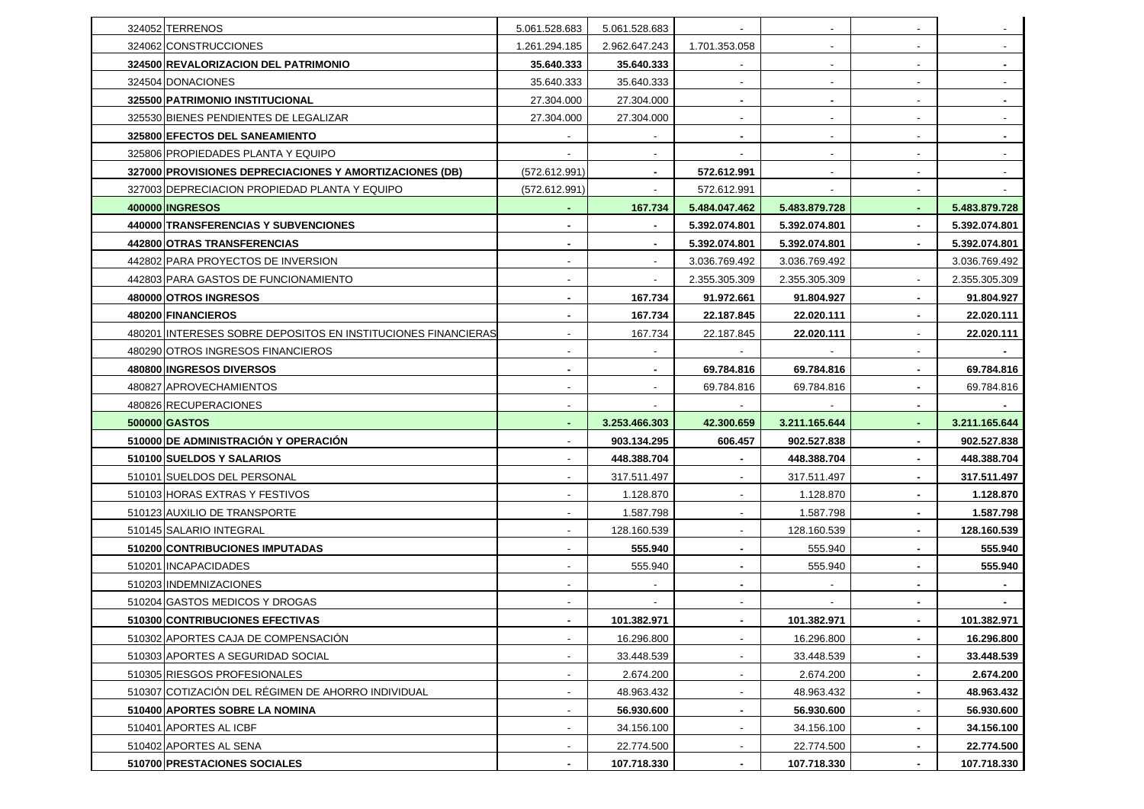| 324052 TERRENOS                                               | 5.061.528.683            | 5.061.528.683            | $\sim$                   | $\overline{\phantom{a}}$ | $\sim$                   |               |
|---------------------------------------------------------------|--------------------------|--------------------------|--------------------------|--------------------------|--------------------------|---------------|
| 324062 CONSTRUCCIONES                                         | 1.261.294.185            | 2.962.647.243            | 1.701.353.058            |                          | $\overline{\phantom{a}}$ |               |
| 324500 REVALORIZACION DEL PATRIMONIO                          | 35.640.333               | 35.640.333               |                          |                          | $\overline{\phantom{a}}$ |               |
| 324504 DONACIONES                                             | 35.640.333               | 35.640.333               | $\overline{\phantom{a}}$ | $\overline{\phantom{a}}$ | $\overline{\phantom{a}}$ |               |
| 325500 PATRIMONIO INSTITUCIONAL                               | 27.304.000               | 27.304.000               | $\blacksquare$           | $\blacksquare$           | $\overline{\phantom{a}}$ |               |
| 325530 BIENES PENDIENTES DE LEGALIZAR                         | 27.304.000               | 27.304.000               | $\sim$                   | $\overline{\phantom{a}}$ | $\overline{\phantom{a}}$ |               |
| 325800 EFECTOS DEL SANEAMIENTO                                |                          |                          | $\sim$                   |                          | $\overline{\phantom{a}}$ |               |
| 325806 PROPIEDADES PLANTA Y EQUIPO                            |                          |                          |                          |                          | $\overline{\phantom{a}}$ |               |
| 327000 PROVISIONES DEPRECIACIONES Y AMORTIZACIONES (DB)       | (572.612.991)            | $\blacksquare$           | 572.612.991              | $\overline{\phantom{a}}$ | $\overline{\phantom{a}}$ |               |
| 327003 DEPRECIACION PROPIEDAD PLANTA Y EQUIPO                 | (572.612.991)            |                          | 572.612.991              |                          | $\overline{\phantom{a}}$ |               |
| 400000 INGRESOS                                               | ٠                        | 167.734                  | 5.484.047.462            | 5.483.879.728            | $\sim$                   | 5.483.879.728 |
| 440000 TRANSFERENCIAS Y SUBVENCIONES                          | $\blacksquare$           |                          | 5.392.074.801            | 5.392.074.801            | $\sim$                   | 5.392.074.801 |
| 442800 OTRAS TRANSFERENCIAS                                   | $\blacksquare$           |                          | 5.392.074.801            | 5.392.074.801            |                          | 5.392.074.801 |
| 442802 PARA PROYECTOS DE INVERSION                            | $\overline{\phantom{a}}$ | $\overline{\phantom{a}}$ | 3.036.769.492            | 3.036.769.492            |                          | 3.036.769.492 |
| 442803 PARA GASTOS DE FUNCIONAMIENTO                          | $\overline{\phantom{a}}$ |                          | 2.355.305.309            | 2.355.305.309            | $\overline{\phantom{a}}$ | 2.355.305.309 |
| 480000 OTROS INGRESOS                                         | ٠                        | 167.734                  | 91.972.661               | 91.804.927               | $\sim$                   | 91.804.927    |
| 480200 FINANCIEROS                                            | $\blacksquare$           | 167.734                  | 22.187.845               | 22.020.111               | $\blacksquare$           | 22.020.111    |
| 480201 INTERESES SOBRE DEPOSITOS EN INSTITUCIONES FINANCIERAS | $\overline{\phantom{a}}$ | 167.734                  | 22.187.845               | 22.020.111               |                          | 22.020.111    |
| 480290 OTROS INGRESOS FINANCIEROS                             | $\overline{\phantom{a}}$ |                          |                          |                          | $\overline{\phantom{a}}$ |               |
| 480800 INGRESOS DIVERSOS                                      | $\blacksquare$           |                          | 69.784.816               | 69.784.816               | ۰                        | 69.784.816    |
| 480827 APROVECHAMIENTOS                                       | $\sim$                   | $\overline{\phantom{a}}$ | 69.784.816               | 69.784.816               | $\blacksquare$           | 69.784.816    |
|                                                               |                          |                          |                          |                          |                          |               |
| 480826 RECUPERACIONES                                         |                          |                          |                          |                          | $\blacksquare$           |               |
| 500000 GASTOS                                                 | $\sim$                   | 3.253.466.303            | 42.300.659               | 3.211.165.644            | $\sim$                   | 3.211.165.644 |
| 510000 DE ADMINISTRACIÓN Y OPERACIÓN                          | $\overline{\phantom{a}}$ | 903.134.295              | 606.457                  | 902.527.838              | $\blacksquare$           | 902.527.838   |
| 510100 SUELDOS Y SALARIOS                                     |                          | 448.388.704              |                          | 448.388.704              | ۰                        | 448.388.704   |
| 510101 SUELDOS DEL PERSONAL                                   | $\overline{\phantom{a}}$ | 317.511.497              | $\overline{\phantom{a}}$ | 317.511.497              | $\blacksquare$           | 317.511.497   |
| 510103 HORAS EXTRAS Y FESTIVOS                                | $\overline{\phantom{a}}$ | 1.128.870                | $\overline{\phantom{a}}$ | 1.128.870                | $\blacksquare$           | 1.128.870     |
| 510123 AUXILIO DE TRANSPORTE                                  |                          | 1.587.798                |                          | 1.587.798                | $\sim$                   | 1.587.798     |
| 510145 SALARIO INTEGRAL                                       | $\overline{\phantom{a}}$ | 128.160.539              | $\overline{\phantom{a}}$ | 128.160.539              | $\blacksquare$           | 128.160.539   |
| 510200 CONTRIBUCIONES IMPUTADAS                               |                          | 555.940                  | $\blacksquare$           | 555.940                  | $\blacksquare$           | 555.940       |
| 510201 INCAPACIDADES                                          | $\sim$                   | 555.940                  | $\sim$                   | 555.940                  | $\blacksquare$           | 555.940       |
| 510203 INDEMNIZACIONES                                        | $\sim$                   |                          | $\sim$                   |                          | $\blacksquare$           |               |
| 510204 GASTOS MEDICOS Y DROGAS                                |                          |                          |                          |                          |                          |               |
| 510300 CONTRIBUCIONES EFECTIVAS                               |                          | 101.382.971              |                          | 101.382.971              | $\blacksquare$           | 101.382.971   |
| 510302 APORTES CAJA DE COMPENSACIÓN                           | $\overline{\phantom{a}}$ | 16.296.800               | $\overline{\phantom{a}}$ | 16.296.800               | $\blacksquare$           | 16.296.800    |
| 510303 APORTES A SEGURIDAD SOCIAL                             | $\overline{\phantom{a}}$ | 33.448.539               | $\overline{\phantom{a}}$ | 33.448.539               | ٠                        | 33.448.539    |
| 510305 RIESGOS PROFESIONALES                                  | $\overline{\phantom{a}}$ | 2.674.200                | $\blacksquare$           | 2.674.200                | $\blacksquare$           | 2.674.200     |
| 510307 COTIZACIÓN DEL RÉGIMEN DE AHORRO INDIVIDUAL            | $\overline{\phantom{a}}$ | 48.963.432               | $\overline{\phantom{a}}$ | 48.963.432               | $\sim$                   | 48.963.432    |
| 510400 APORTES SOBRE LA NOMINA                                | $\overline{\phantom{a}}$ | 56.930.600               | $\blacksquare$           | 56.930.600               | $\overline{\phantom{a}}$ | 56.930.600    |
| 510401 APORTES AL ICBF                                        | $\overline{\phantom{a}}$ | 34.156.100               |                          | 34.156.100               | ٠                        | 34.156.100    |
| 510402 APORTES AL SENA                                        | $\overline{\phantom{a}}$ | 22.774.500               | $\overline{\phantom{a}}$ | 22.774.500               | $\blacksquare$           | 22.774.500    |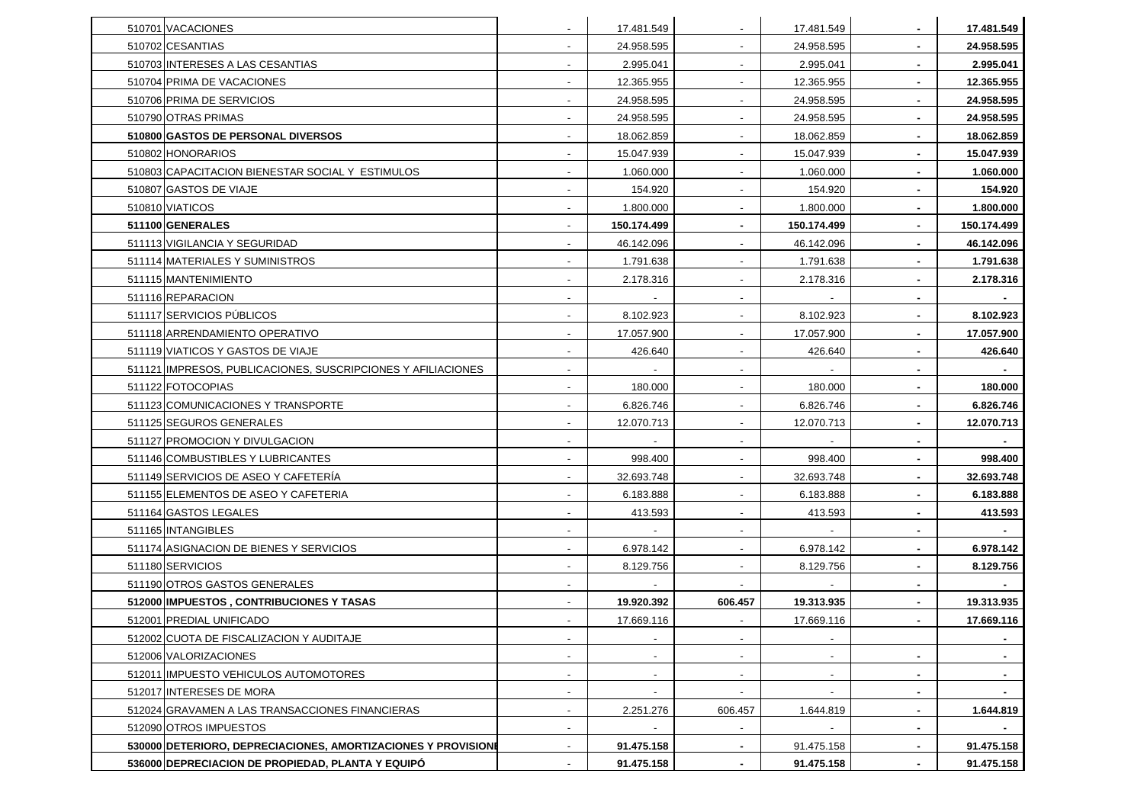| 510701 VACACIONES                                             |                          | 17.481.549               |                          | 17.481.549               |                | 17.481.549     |
|---------------------------------------------------------------|--------------------------|--------------------------|--------------------------|--------------------------|----------------|----------------|
| 510702 CESANTIAS                                              | $\overline{\phantom{a}}$ | 24.958.595               |                          | 24.958.595               | $\sim$         | 24.958.595     |
| 510703 INTERESES A LAS CESANTIAS                              |                          | 2.995.041                |                          | 2.995.041                |                | 2.995.041      |
| 510704 PRIMA DE VACACIONES                                    | $\overline{\phantom{a}}$ | 12.365.955               |                          | 12.365.955               |                | 12.365.955     |
| 510706 PRIMA DE SERVICIOS                                     | $\overline{\phantom{a}}$ | 24.958.595               | $\overline{\phantom{a}}$ | 24.958.595               | $\sim$         | 24.958.595     |
| 510790 OTRAS PRIMAS                                           |                          | 24.958.595               |                          | 24.958.595               |                | 24.958.595     |
| 510800 GASTOS DE PERSONAL DIVERSOS                            | $\overline{\phantom{a}}$ | 18.062.859               | $\blacksquare$           | 18.062.859               | $\sim$         | 18.062.859     |
| 510802 HONORARIOS                                             |                          | 15.047.939               |                          | 15.047.939               |                | 15.047.939     |
| 510803 CAPACITACION BIENESTAR SOCIAL Y ESTIMULOS              | $\overline{\phantom{a}}$ | 1.060.000                |                          | 1.060.000                |                | 1.060.000      |
| 510807 GASTOS DE VIAJE                                        | $\overline{\phantom{a}}$ | 154.920                  | $\overline{\phantom{a}}$ | 154.920                  | $\sim$         | 154.920        |
| 510810 VIATICOS                                               |                          | 1.800.000                |                          | 1.800.000                |                | 1.800.000      |
| 511100 GENERALES                                              | $\overline{\phantom{a}}$ | 150.174.499              | $\blacksquare$           | 150.174.499              | $\sim$         | 150.174.499    |
| 511113 VIGILANCIA Y SEGURIDAD                                 |                          | 46.142.096               |                          | 46.142.096               | $\blacksquare$ | 46.142.096     |
| 511114 MATERIALES Y SUMINISTROS                               |                          | 1.791.638                |                          | 1.791.638                | $\blacksquare$ | 1.791.638      |
| 511115 MANTENIMIENTO                                          | $\overline{\phantom{a}}$ | 2.178.316                | $\overline{\phantom{a}}$ | 2.178.316                | $\sim$         | 2.178.316      |
| 511116 REPARACION                                             |                          |                          |                          |                          |                |                |
| 511117 SERVICIOS PUBLICOS                                     | $\overline{\phantom{a}}$ | 8.102.923                | $\blacksquare$           | 8.102.923                | $\sim$         | 8.102.923      |
| 511118 ARRENDAMIENTO OPERATIVO                                | $\overline{\phantom{a}}$ | 17.057.900               |                          | 17.057.900               |                | 17.057.900     |
| 511119 VIATICOS Y GASTOS DE VIAJE                             | $\overline{\phantom{a}}$ | 426.640                  | $\blacksquare$           | 426.640                  | $\blacksquare$ | 426.640        |
| 511121 IMPRESOS, PUBLICACIONES, SUSCRIPCIONES Y AFILIACIONES  | $\overline{\phantom{a}}$ | $\sim$                   | $\overline{\phantom{a}}$ | $\overline{\phantom{a}}$ | $\sim$         | $\blacksquare$ |
| 511122 FOTOCOPIAS                                             |                          | 180.000                  |                          | 180.000                  |                | 180.000        |
| 511123 COMUNICACIONES Y TRANSPORTE                            | $\overline{\phantom{a}}$ | 6.826.746                | $\blacksquare$           | 6.826.746                | $\sim$         | 6.826.746      |
| 511125 SEGUROS GENERALES                                      |                          | 12.070.713               |                          | 12.070.713               |                | 12.070.713     |
| 511127 PROMOCION Y DIVULGACION                                |                          |                          |                          |                          | $\blacksquare$ |                |
| 511146 COMBUSTIBLES Y LUBRICANTES                             | $\overline{\phantom{a}}$ | 998.400                  | $\overline{\phantom{a}}$ | 998.400                  | $\sim$         | 998.400        |
| 511149 SERVICIOS DE ASEO Y CAFETERÍA                          |                          | 32.693.748               |                          | 32.693.748               |                | 32.693.748     |
| 511155 ELEMENTOS DE ASEO Y CAFETERIA                          | $\overline{\phantom{a}}$ | 6.183.888                | $\blacksquare$           | 6.183.888                | $\sim$         | 6.183.888      |
| 511164 GASTOS LEGALES                                         |                          | 413.593                  |                          | 413.593                  |                | 413.593        |
| 511165 INTANGIBLES                                            | $\overline{\phantom{a}}$ |                          |                          |                          | $\sim$         |                |
| 511174 ASIGNACION DE BIENES Y SERVICIOS                       | $\overline{\phantom{a}}$ | 6.978.142                | $\blacksquare$           | 6.978.142                | $\sim$         | 6.978.142      |
| 511180 SERVICIOS                                              |                          | 8.129.756                |                          | 8.129.756                |                | 8.129.756      |
| 511190 OTROS GASTOS GENERALES                                 | $\overline{\phantom{a}}$ |                          |                          |                          | $\sim$         |                |
| 512000 IMPUESTOS, CONTRIBUCIONES Y TASAS                      | $\overline{\phantom{a}}$ | 19.920.392               | 606.457                  | 19.313.935               | $\sim$         | 19.313.935     |
| 512001 PREDIAL UNIFICADO                                      | $\sim$                   | 17.669.116               | $\sim$                   | 17.669.116               | $\sim$         | 17.669.116     |
| 512002 CUOTA DE FISCALIZACION Y AUDITAJE                      | $\overline{\phantom{a}}$ | $\blacksquare$           | $\blacksquare$           |                          |                |                |
| 512006 VALORIZACIONES                                         |                          |                          |                          |                          | ٠              |                |
| 512011 IMPUESTO VEHICULOS AUTOMOTORES                         | $\overline{\phantom{a}}$ | $\sim$                   | $\sim$                   | $\overline{\phantom{a}}$ | $\sim$         | $\blacksquare$ |
| 512017 INTERESES DE MORA                                      | $\overline{\phantom{a}}$ | $\overline{\phantom{a}}$ | $\blacksquare$           |                          | $\blacksquare$ |                |
| 512024 GRAVAMEN A LAS TRANSACCIONES FINANCIERAS               | $\overline{\phantom{a}}$ | 2.251.276                | 606.457                  | 1.644.819                | ٠              | 1.644.819      |
| 512090 OTROS IMPUESTOS                                        | $\overline{\phantom{a}}$ |                          |                          |                          | $\sim$         |                |
| 530000 DETERIORO, DEPRECIACIONES, AMORTIZACIONES Y PROVISIONE | $\overline{\phantom{a}}$ | 91.475.158               |                          | 91.475.158               | $\blacksquare$ | 91.475.158     |
| 536000 DEPRECIACION DE PROPIEDAD, PLANTA Y EQUIPO             | $\overline{\phantom{a}}$ | 91.475.158               | $\blacksquare$           | 91.475.158               | $\blacksquare$ | 91.475.158     |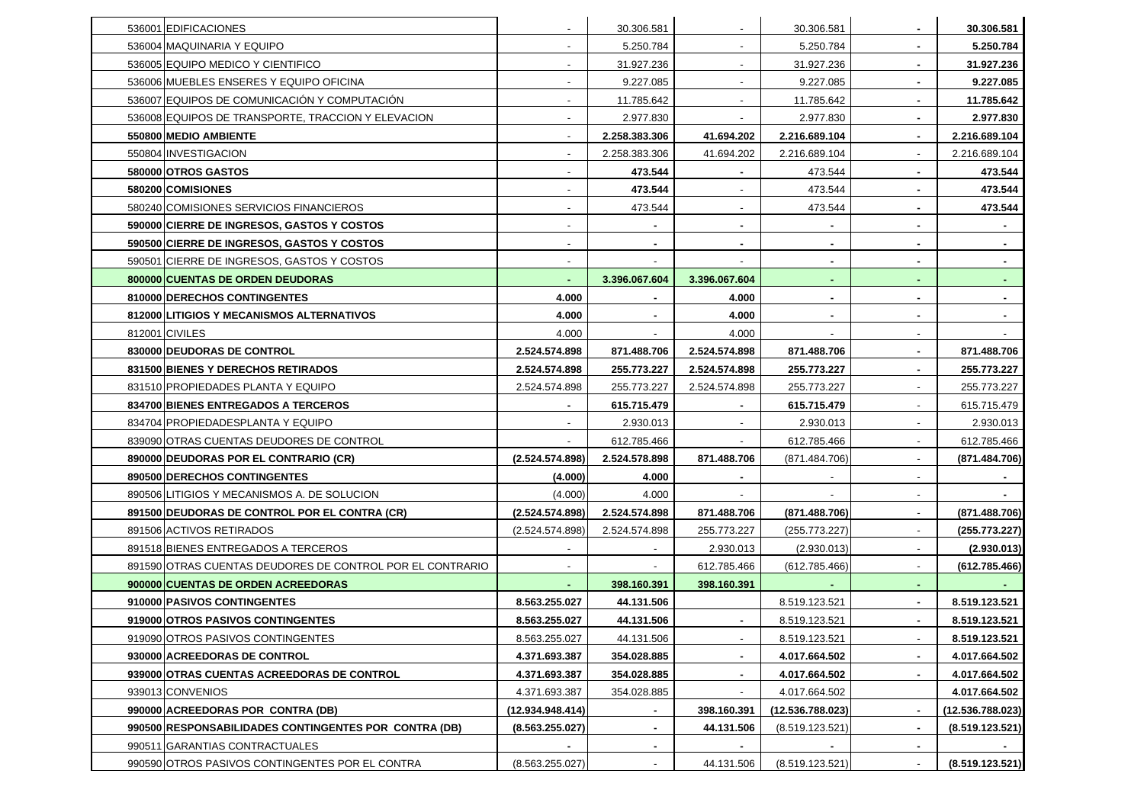| 536001 EDIFICACIONES                                      |                          | 30.306.581     |                          | 30.306.581       | $\blacksquare$           | 30.306.581       |
|-----------------------------------------------------------|--------------------------|----------------|--------------------------|------------------|--------------------------|------------------|
| 536004 MAQUINARIA Y EQUIPO                                | $\overline{\phantom{a}}$ | 5.250.784      | $\overline{\phantom{a}}$ | 5.250.784        | $\sim$                   | 5.250.784        |
| 536005 EQUIPO MEDICO Y CIENTIFICO                         | $\overline{\phantom{a}}$ | 31.927.236     |                          | 31.927.236       | $\blacksquare$           | 31.927.236       |
| 536006 MUEBLES ENSERES Y EQUIPO OFICINA                   | ٠                        | 9.227.085      |                          | 9.227.085        | $\sim$                   | 9.227.085        |
| 536007 EQUIPOS DE COMUNICACIÓN Y COMPUTACIÓN              | $\blacksquare$           | 11.785.642     |                          | 11.785.642       | $\sim$                   | 11.785.642       |
| 536008 EQUIPOS DE TRANSPORTE, TRACCION Y ELEVACION        | $\overline{\phantom{a}}$ | 2.977.830      |                          | 2.977.830        | $\blacksquare$           | 2.977.830        |
| 550800 MEDIO AMBIENTE                                     | $\overline{\phantom{a}}$ | 2.258.383.306  | 41.694.202               | 2.216.689.104    | $\sim$                   | 2.216.689.104    |
| 550804 INVESTIGACION                                      | $\blacksquare$           | 2.258.383.306  | 41.694.202               | 2.216.689.104    | $\overline{\phantom{a}}$ | 2.216.689.104    |
| 580000 OTROS GASTOS                                       | $\blacksquare$           | 473.544        |                          | 473.544          | $\sim$                   | 473.544          |
| 580200 COMISIONES                                         | $\blacksquare$           | 473.544        |                          | 473.544          | $\sim$                   | 473.544          |
| 580240 COMISIONES SERVICIOS FINANCIEROS                   |                          | 473.544        |                          | 473.544          | $\blacksquare$           | 473.544          |
| 590000 CIERRE DE INGRESOS, GASTOS Y COSTOS                | $\overline{\phantom{a}}$ | $\blacksquare$ | $\sim$                   |                  | $\sim$                   |                  |
| 590500 CIERRE DE INGRESOS, GASTOS Y COSTOS                | $\overline{\phantom{a}}$ |                | $\sim$                   |                  | $\blacksquare$           |                  |
| 590501 CIERRE DE INGRESOS, GASTOS Y COSTOS                | $\overline{\phantom{a}}$ |                |                          | ٠                | $\sim$                   |                  |
| 800000 CUENTAS DE ORDEN DEUDORAS                          |                          | 3.396.067.604  | 3.396.067.604            |                  | $\sim$                   |                  |
| 810000 DERECHOS CONTINGENTES                              | 4.000                    |                | 4.000                    | $\blacksquare$   | $\blacksquare$           |                  |
| 812000 LITIGIOS Y MECANISMOS ALTERNATIVOS                 | 4.000                    | $\sim$         | 4.000                    | ٠                | $\sim$                   |                  |
| 812001 CIVILES                                            | 4.000                    |                | 4.000                    |                  | $\overline{\phantom{a}}$ |                  |
| 830000 DEUDORAS DE CONTROL                                | 2.524.574.898            | 871.488.706    | 2.524.574.898            | 871.488.706      | $\sim$                   | 871.488.706      |
| <b>831500 BIENES Y DERECHOS RETIRADOS</b>                 | 2.524.574.898            | 255.773.227    | 2.524.574.898            | 255.773.227      | $\blacksquare$           | 255.773.227      |
| 831510 PROPIEDADES PLANTA Y EQUIPO                        | 2.524.574.898            | 255.773.227    | 2.524.574.898            | 255.773.227      | $\sim$                   | 255.773.227      |
| 834700 BIENES ENTREGADOS A TERCEROS                       | ۰                        | 615.715.479    | $\sim$                   | 615.715.479      | $\sim$                   | 615.715.479      |
| 834704 PROPIEDADESPLANTA Y EQUIPO                         |                          | 2.930.013      |                          | 2.930.013        | $\overline{\phantom{a}}$ | 2.930.013        |
| 839090 OTRAS CUENTAS DEUDORES DE CONTROL                  |                          | 612.785.466    |                          | 612.785.466      | $\sim$                   | 612.785.466      |
| 890000 DEUDORAS POR EL CONTRARIO (CR)                     | (2.524.574.898)          | 2.524.578.898  | 871.488.706              | (871.484.706)    | $\blacksquare$           | (871.484.706)    |
| 890500 DERECHOS CONTINGENTES                              | (4.000)                  | 4.000          |                          |                  | $\sim$                   |                  |
| 890506 LITIGIOS Y MECANISMOS A. DE SOLUCION               | (4.000)                  | 4.000          |                          |                  | $\sim$                   |                  |
| 891500 DEUDORAS DE CONTROL POR EL CONTRA (CR)             | (2.524.574.898)          | 2.524.574.898  | 871.488.706              | (871.488.706)    | $\overline{\phantom{a}}$ | (871.488.706)    |
| 891506 ACTIVOS RETIRADOS                                  | (2.524.574.898)          | 2.524.574.898  | 255.773.227              | (255.773.227)    | $\sim$                   | (255.773.227)    |
| 891518 BIENES ENTREGADOS A TERCEROS                       |                          |                | 2.930.013                | (2.930.013)      | $\overline{\phantom{a}}$ | (2.930.013)      |
| 891590 OTRAS CUENTAS DEUDORES DE CONTROL POR EL CONTRARIO | $\overline{\phantom{a}}$ |                | 612.785.466              | (612.785.466)    | $\sim$                   | (612.785.466)    |
| 900000 CUENTAS DE ORDEN ACREEDORAS                        | ٠                        | 398.160.391    | 398.160.391              |                  | $\sim$                   |                  |
| 910000 PASIVOS CONTINGENTES                               | 8.563.255.027            | 44.131.506     |                          | 8.519.123.521    |                          | 8.519.123.521    |
| 919000 OTROS PASIVOS CONTINGENTES                         | 8.563.255.027            | 44.131.506     | ۰.                       | 8.519.123.521    | $\sim$                   | 8.519.123.521    |
| 919090 OTROS PASIVOS CONTINGENTES                         | 8.563.255.027            | 44.131.506     |                          | 8.519.123.521    | $\blacksquare$           | 8.519.123.521    |
| 930000 ACREEDORAS DE CONTROL                              | 4.371.693.387            | 354.028.885    |                          | 4.017.664.502    | $\blacksquare$           | 4.017.664.502    |
| 939000 OTRAS CUENTAS ACREEDORAS DE CONTROL                | 4.371.693.387            | 354.028.885    | $\sim$                   | 4.017.664.502    | $\blacksquare$           | 4.017.664.502    |
| 939013 CONVENIOS                                          | 4.371.693.387            | 354.028.885    |                          | 4.017.664.502    |                          | 4.017.664.502    |
| 990000 ACREEDORAS POR CONTRA (DB)                         | (12.934.948.414)         |                | 398.160.391              | (12.536.788.023) | $\blacksquare$           | (12.536.788.023) |
| 990500 RESPONSABILIDADES CONTINGENTES POR CONTRA (DB)     | (8.563.255.027)          |                | 44.131.506               | (8.519.123.521)  | $\blacksquare$           | (8.519.123.521)  |
| 990511 GARANTIAS CONTRACTUALES                            |                          | ٠              | $\sim$                   |                  | $\blacksquare$           |                  |
| 990590 OTROS PASIVOS CONTINGENTES POR EL CONTRA           | (8.563.255.027)          |                | 44.131.506               | (8.519.123.521)  | $\overline{\phantom{a}}$ | (8.519.123.521)  |